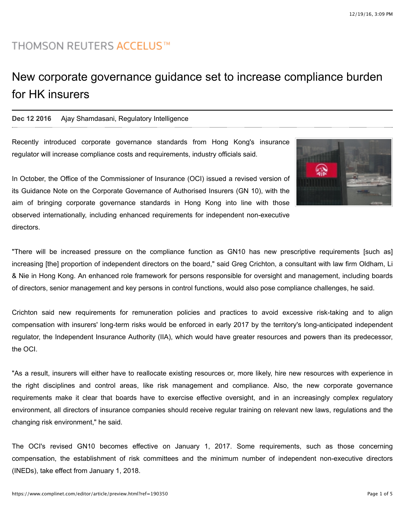# **THOMSON REUTERS ACCELUS™**

# New corporate governance guidance set to increase compliance burden for HK insurers

# **Dec 12 2016** [Ajay Shamdasani, Regulatory Intelligence](mailto:ajay.shamdasani@thomsonreuters.com)

Recently introduced corporate governance standards from Hong Kong's insurance regulator will increase compliance costs and requirements, industry officials said.



In October, the Office of the Commissioner of Insurance (OCI) issued a revised version of its Guidance Note on the Corporate Governance of Authorised Insurers (GN 10), with the aim of bringing corporate governance standards in Hong Kong into line with those observed internationally, including enhanced requirements for independent non-executive directors.

"There will be increased pressure on the compliance function as GN10 has new prescriptive requirements [such as] increasing [the] proportion of independent directors on the board," said Greg Crichton, a consultant with law firm Oldham, Li & Nie in Hong Kong. An enhanced role framework for persons responsible for oversight and management, including boards of directors, senior management and key persons in control functions, would also pose compliance challenges, he said.

Crichton said new requirements for remuneration policies and practices to avoid excessive risk-taking and to align compensation with insurers' long-term risks would be enforced in early 2017 by the territory's long-anticipated independent regulator, the Independent Insurance Authority (IIA), which would have greater resources and powers than its predecessor, the OCI.

"As a result, insurers will either have to reallocate existing resources or, more likely, hire new resources with experience in the right disciplines and control areas, like risk management and compliance. Also, the new corporate governance requirements make it clear that boards have to exercise effective oversight, and in an increasingly complex regulatory environment, all directors of insurance companies should receive regular training on relevant new laws, regulations and the changing risk environment," he said.

The OCI's revised [GN10](http://www.oci.gov.hk/download/gn10-eng_20161007.pdf) becomes effective on January 1, 2017. Some requirements, such as those concerning compensation, the establishment of risk committees and the minimum number of independent non-executive directors (INEDs), take effect from January 1, 2018.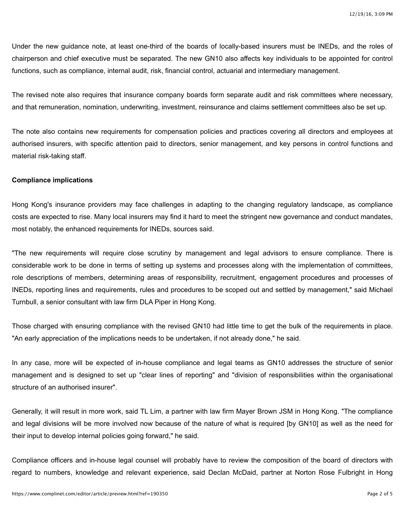Under the new guidance note, at least one-third of the boards of locally-based insurers must be INEDs, and the roles of chairperson and chief executive must be separated. The new GN10 also affects key individuals to be appointed for control functions, such as compliance, internal audit, risk, financial control, actuarial and intermediary management.

The revised note also requires that insurance company boards form separate audit and risk committees where necessary, and that remuneration, nomination, underwriting, investment, reinsurance and claims settlement committees also be set up.

The note also contains new requirements for compensation policies and practices covering all directors and employees at authorised insurers, with specific attention paid to directors, senior management, and key persons in control functions and material risk-taking staff.

# **Compliance implications**

Hong Kong's insurance providers may face challenges in adapting to the changing regulatory landscape, as compliance costs are expected to rise. Many local insurers may find it hard to meet the stringent new governance and conduct mandates, most notably, the enhanced requirements for INEDs, sources said.

"The new requirements will require close scrutiny by management and legal advisors to ensure compliance. There is considerable work to be done in terms of setting up systems and processes along with the implementation of committees, role descriptions of members, determining areas of responsibility, recruitment, engagement procedures and processes of INEDs, reporting lines and requirements, rules and procedures to be scoped out and settled by management," said Michael Turnbull, a senior consultant with law firm DLA Piper in Hong Kong.

Those charged with ensuring compliance with the revised GN10 had little time to get the bulk of the requirements in place. "An early appreciation of the implications needs to be undertaken, if not already done," he said.

In any case, more will be expected of in-house compliance and legal teams as GN10 addresses the structure of senior management and is designed to set up "clear lines of reporting" and "division of responsibilities within the organisational structure of an authorised insurer".

Generally, it will result in more work, said TL Lim, a partner with law firm Mayer Brown JSM in Hong Kong. "The compliance and legal divisions will be more involved now because of the nature of what is required [by GN10] as well as the need for their input to develop internal policies going forward," he said.

Compliance officers and in-house legal counsel will probably have to review the composition of the board of directors with regard to numbers, knowledge and relevant experience, said Declan McDaid, partner at Norton Rose Fulbright in Hong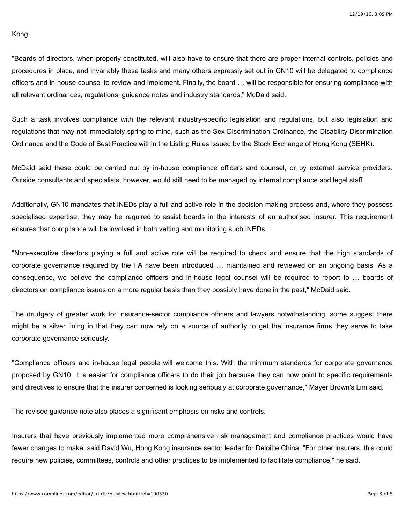#### Kong.

"Boards of directors, when properly constituted, will also have to ensure that there are proper internal controls, policies and procedures in place, and invariably these tasks and many others expressly set out in GN10 will be delegated to compliance officers and in-house counsel to review and implement. Finally, the board … will be responsible for ensuring compliance with all relevant ordinances, regulations, guidance notes and industry standards," McDaid said.

Such a task involves compliance with the relevant industry-specific legislation and regulations, but also legislation and regulations that may not immediately spring to mind, such as the Sex Discrimination Ordinance, the Disability Discrimination Ordinance and the Code of Best Practice within the Listing Rules issued by the Stock Exchange of Hong Kong (SEHK).

McDaid said these could be carried out by in-house compliance officers and counsel, or by external service providers. Outside consultants and specialists, however, would still need to be managed by internal compliance and legal staff.

Additionally, GN10 mandates that INEDs play a full and active role in the decision-making process and, where they possess specialised expertise, they may be required to assist boards in the interests of an authorised insurer. This requirement ensures that compliance will be involved in both vetting and monitoring such INEDs.

"Non-executive directors playing a full and active role will be required to check and ensure that the high standards of corporate governance required by the IIA have been introduced … maintained and reviewed on an ongoing basis. As a consequence, we believe the compliance officers and in-house legal counsel will be required to report to … boards of directors on compliance issues on a more regular basis than they possibly have done in the past," McDaid said.

The drudgery of greater work for insurance-sector compliance officers and lawyers notwithstanding, some suggest there might be a silver lining in that they can now rely on a source of authority to get the insurance firms they serve to take corporate governance seriously.

"Compliance officers and in-house legal people will welcome this. With the minimum standards for corporate governance proposed by GN10, it is easier for compliance officers to do their job because they can now point to specific requirements and directives to ensure that the insurer concerned is looking seriously at corporate governance," Mayer Brown's Lim said.

The revised guidance note also places a significant emphasis on risks and controls.

Insurers that have previously implemented more comprehensive risk management and compliance practices would have fewer changes to make, said David Wu, Hong Kong insurance sector leader for Deloitte China. "For other insurers, this could require new policies, committees, controls and other practices to be implemented to facilitate compliance," he said.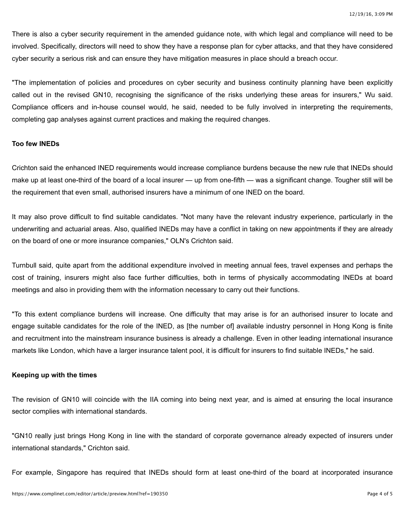There is also a cyber security requirement in the amended guidance note, with which legal and compliance will need to be involved. Specifically, directors will need to show they have a response plan for cyber attacks, and that they have considered cyber security a serious risk and can ensure they have mitigation measures in place should a breach occur.

"The implementation of policies and procedures on cyber security and business continuity planning have been explicitly called out in the revised GN10, recognising the significance of the risks underlying these areas for insurers," Wu said. Compliance officers and in-house counsel would, he said, needed to be fully involved in interpreting the requirements, completing gap analyses against current practices and making the required changes.

#### **Too few INEDs**

Crichton said the enhanced INED requirements would increase compliance burdens because the new rule that INEDs should make up at least one-third of the board of a local insurer — up from one-fifth — was a significant change. Tougher still will be the requirement that even small, authorised insurers have a minimum of one INED on the board.

It may also prove difficult to find suitable candidates. "Not many have the relevant industry experience, particularly in the underwriting and actuarial areas. Also, qualified INEDs may have a conflict in taking on new appointments if they are already on the board of one or more insurance companies," OLN's Crichton said.

Turnbull said, quite apart from the additional expenditure involved in meeting annual fees, travel expenses and perhaps the cost of training, insurers might also face further difficulties, both in terms of physically accommodating INEDs at board meetings and also in providing them with the information necessary to carry out their functions.

"To this extent compliance burdens will increase. One difficulty that may arise is for an authorised insurer to locate and engage suitable candidates for the role of the INED, as [the number of] available industry personnel in Hong Kong is finite and recruitment into the mainstream insurance business is already a challenge. Even in other leading international insurance markets like London, which have a larger insurance talent pool, it is difficult for insurers to find suitable INEDs," he said.

### **Keeping up with the times**

The revision of GN10 will coincide with the IIA coming into being next year, and is aimed at ensuring the local insurance sector complies with international standards.

"GN10 really just brings Hong Kong in line with the standard of corporate governance already expected of insurers under international standards," Crichton said.

For example, Singapore has required that INEDs should form at least one-third of the board at incorporated insurance